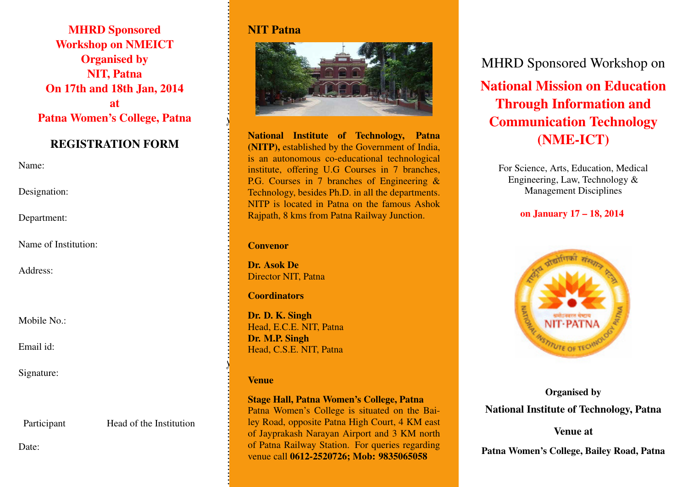MHRD Sponsored Workshop on NMEICT Organised by NIT, Patna On 17th and 18th Jan, 2014 at Patna Women's College, Patna

### REGISTRATION FORM

Name:

Designation:

Department:

Name of Institution:

Address:

Mobile No.:

Email id:

Signature:

Participant Head of the Institution

Date:

### NIT Patna



National Institute of Technology, Patna (NITP), established by the Government of India, is an autonomous co-educational technological institute, offering U.G Courses in 7 branches, P.G. Courses in 7 branches of Engineering & Technology, besides Ph.D. in all the departments. NITP is located in Patna on the famous Ashok Rajpath, 8 kms from Patna Railway Junction.

#### Convenor

Dr. Asok De Director NIT, Patna

#### **Coordinators**

Dr. D. K. Singh Head, E.C.E. NIT, Patna Dr. M.P. Singh Head, C.S.E. NIT, Patna

#### Venue

. . . . . . . . . . . . . . . . . . . . . . . . . . . . . . . .

✂

. . . . . . . . . . . . . . . . . . . . . . . . . . . . . . . . . . . . . . . . . . . . . . . . . . . . . . . . . . . . . . . .

✂

. . . . . . . . . . . . . . . . . . . . . . . . . . . . . . . .

### Stage Hall, Patna Women's College, Patna

Patna Women's College is situated on the Bailey Road, opposite Patna High Court, 4 KM east of Jayprakash Narayan Airport and 3 KM north of Patna Railway Station. For queries regarding venue call 0612-2520726; Mob: 9835065058

MHRD Sponsored Workshop on National Mission on Education Through Information and Communication Technology (NME-ICT)

For Science, Arts, Education, Medical Engineering, Law, Technology & Management Disciplines

### on January 17 – 18, 2014



Organised by National Institute of Technology, Patna

### Venue at

Patna Women's College, Bailey Road, Patna